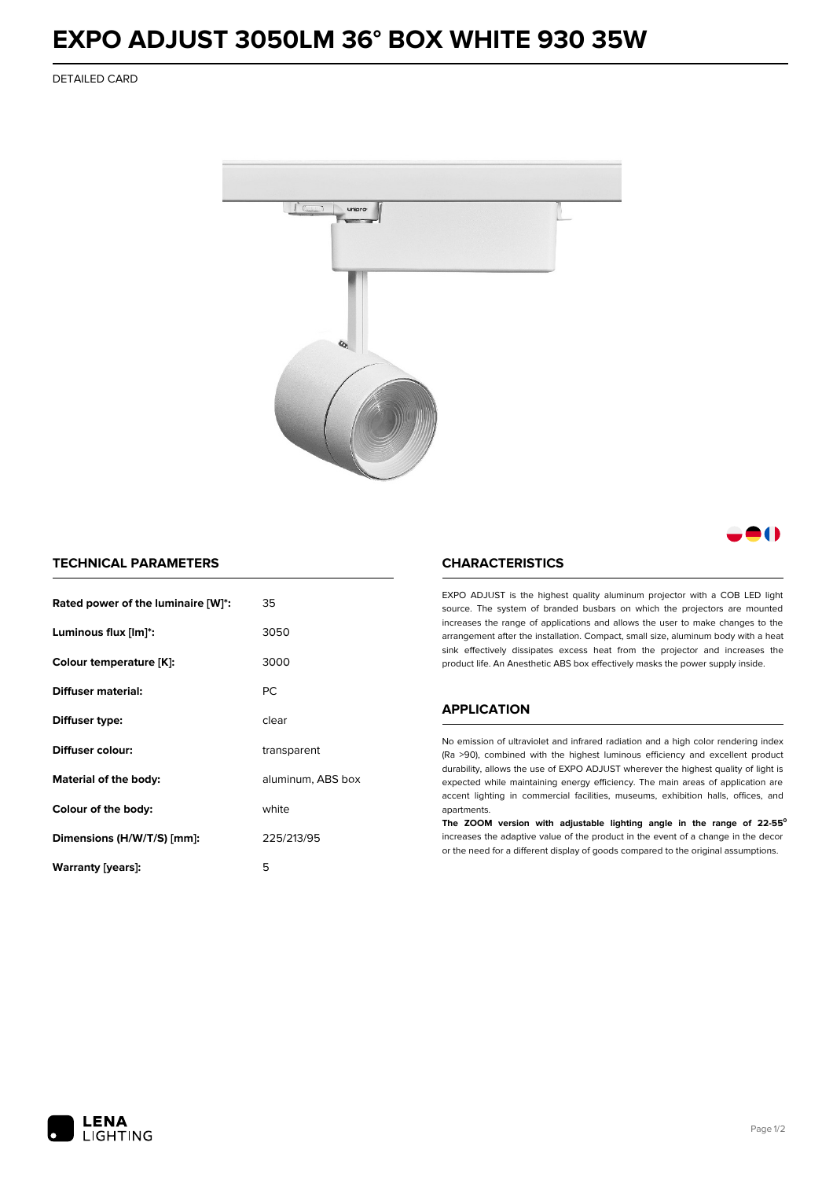## **EXPO ADJUST 3050LM 36° BOX WHITE 930 35W**

DETAILED CARD



- 1

## **TECHNICAL PARAMETERS**

| Rated power of the luminaire [W]*: | 35                |  |
|------------------------------------|-------------------|--|
| Luminous flux [lm]*:               | 3050              |  |
| Colour temperature [K]:            | 3000              |  |
| Diffuser material:                 | <b>PC</b>         |  |
| Diffuser type:                     | clear             |  |
| Diffuser colour:                   | transparent       |  |
| Material of the body:              | aluminum, ABS box |  |
| Colour of the body:                | white             |  |
| Dimensions (H/W/T/S) [mm]:         | 225/213/95        |  |
| Warranty (years):                  | 5                 |  |

## **CHARACTERISTICS**

EXPO ADJUST is the highest quality aluminum projector with a COB LED light source. The system of branded busbars on which the projectors are mounted increases the range of applications and allows the user to make changes to the arrangement after the installation. Compact, small size, aluminum body with a heat sink effectively dissipates excess heat from the projector and increases the product life. An Anesthetic ABS box effectively masks the power supply inside.

#### **APPLICATION**

No emission of ultraviolet and infrared radiation and a high color rendering index (Ra >90), combined with the highest luminous efficiency and excellent product durability, allows the use of EXPO ADJUST wherever the highest quality of light is expected while maintaining energy efficiency. The main areas of application are accent lighting in commercial facilities, museums, exhibition halls, offices, and apartments.

**The ZOOM version with adjustable lighting angle in the range of 22-55⁰** increases the adaptive value of the product in the event of a change in the decor or the need for a different display of goods compared to the original assumptions.